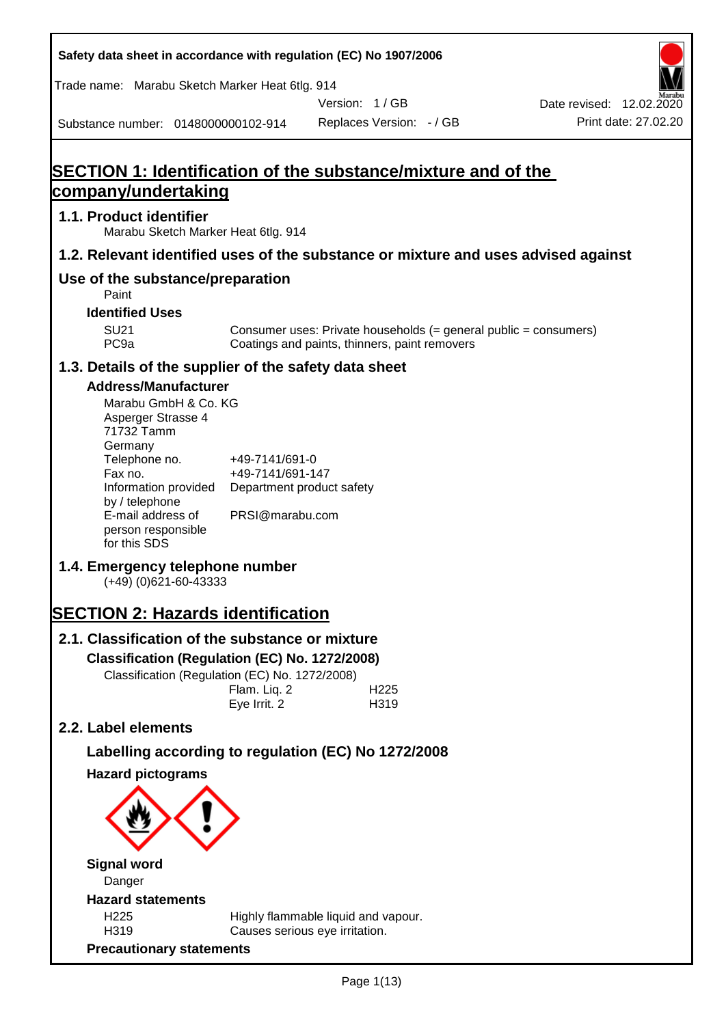**Safety data sheet in accordance with regulation (EC) No 1907/2006** Substance number: 0148000000102-914 Version: 1 / GB Replaces Version: - / GB Print date: 27.02.20 Date revised: 12.02.2020 Trade name: Marabu Sketch Marker Heat 6tlg. 914 **SECTION 1: Identification of the substance/mixture and of the company/undertaking 1.1. Product identifier** Marabu Sketch Marker Heat 6tlg. 914 **1.2. Relevant identified uses of the substance or mixture and uses advised against Use of the substance/preparation** Paint **Identified Uses** SU21 Consumer uses: Private households (= general public = consumers)<br>PC9a Coatings and paints, thinners, paint removers Coatings and paints, thinners, paint removers **1.3. Details of the supplier of the safety data sheet Address/Manufacturer** Marabu GmbH & Co. KG Asperger Strasse 4 71732 Tamm **Germany** Telephone no. +49-7141/691-0 Fax no.  $+49-7141/691-147$ Information provided Department product safety by / telephone E-mail address of person responsible for this SDS PRSI@marabu.com **1.4. Emergency telephone number** (+49) (0)621-60-43333 **SECTION 2: Hazards identification 2.1. Classification of the substance or mixture Classification (Regulation (EC) No. 1272/2008)** Classification (Regulation (EC) No. 1272/2008) Flam. Liq. 2 H225 Eye Irrit. 2 H319 **2.2. Label elements Labelling according to regulation (EC) No 1272/2008 Hazard pictograms Signal word** Danger **Hazard statements** H225 Highly flammable liquid and vapour. H319 Causes serious eye irritation. **Precautionary statements**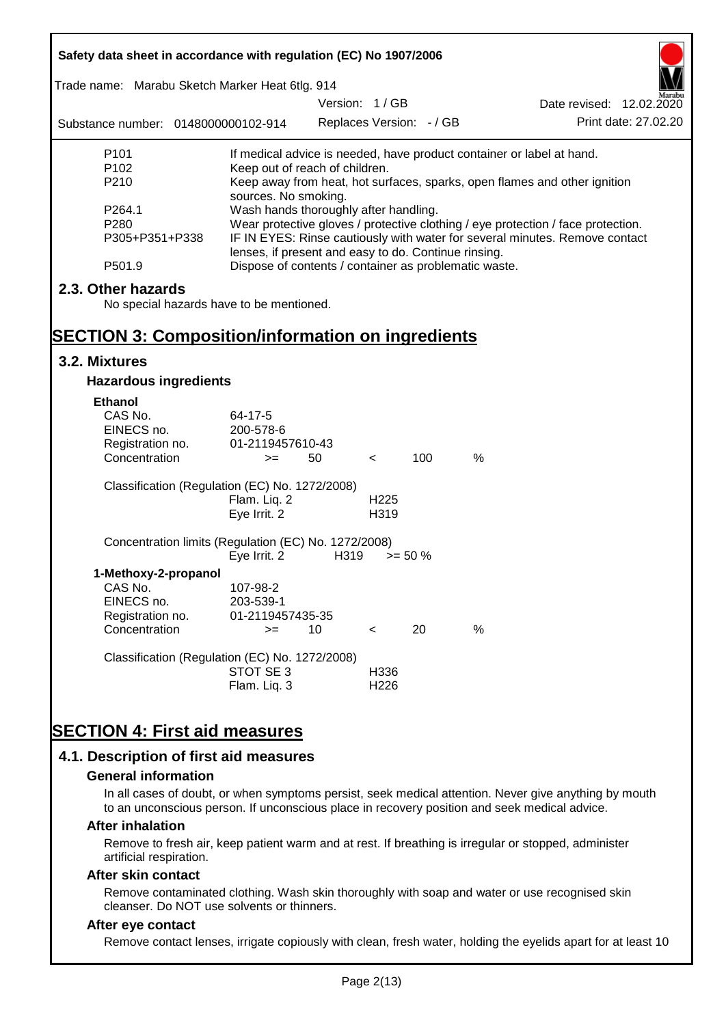| Safety data sheet in accordance with regulation (EC) No 1907/2006 |                                                                                                                                     |                          |                  |            |      |                                                                           |  |
|-------------------------------------------------------------------|-------------------------------------------------------------------------------------------------------------------------------------|--------------------------|------------------|------------|------|---------------------------------------------------------------------------|--|
| Trade name: Marabu Sketch Marker Heat 6tlg. 914                   |                                                                                                                                     |                          |                  |            |      |                                                                           |  |
|                                                                   |                                                                                                                                     | Version: 1/GB            |                  |            |      | Date revised: 12.02.2020<br>Print date: 27.02.20                          |  |
| Substance number: 0148000000102-914                               |                                                                                                                                     | Replaces Version: - / GB |                  |            |      |                                                                           |  |
| P <sub>101</sub>                                                  |                                                                                                                                     |                          |                  |            |      | If medical advice is needed, have product container or label at hand.     |  |
| P <sub>102</sub>                                                  | Keep out of reach of children.                                                                                                      |                          |                  |            |      |                                                                           |  |
| P210                                                              |                                                                                                                                     |                          |                  |            |      | Keep away from heat, hot surfaces, sparks, open flames and other ignition |  |
| P264.1                                                            | sources. No smoking.                                                                                                                |                          |                  |            |      |                                                                           |  |
| P <sub>280</sub>                                                  | Wash hands thoroughly after handling.<br>Wear protective gloves / protective clothing / eye protection / face protection.           |                          |                  |            |      |                                                                           |  |
| P305+P351+P338                                                    | IF IN EYES: Rinse cautiously with water for several minutes. Remove contact<br>lenses, if present and easy to do. Continue rinsing. |                          |                  |            |      |                                                                           |  |
| P501.9                                                            | Dispose of contents / container as problematic waste.                                                                               |                          |                  |            |      |                                                                           |  |
| 2.3. Other hazards                                                |                                                                                                                                     |                          |                  |            |      |                                                                           |  |
| No special hazards have to be mentioned.                          |                                                                                                                                     |                          |                  |            |      |                                                                           |  |
|                                                                   |                                                                                                                                     |                          |                  |            |      |                                                                           |  |
| <b>SECTION 3: Composition/information on ingredients</b>          |                                                                                                                                     |                          |                  |            |      |                                                                           |  |
| 3.2. Mixtures                                                     |                                                                                                                                     |                          |                  |            |      |                                                                           |  |
| <b>Hazardous ingredients</b>                                      |                                                                                                                                     |                          |                  |            |      |                                                                           |  |
| Ethanol                                                           |                                                                                                                                     |                          |                  |            |      |                                                                           |  |
| CAS No.                                                           | 64-17-5                                                                                                                             |                          |                  |            |      |                                                                           |  |
| EINECS no.                                                        | 200-578-6                                                                                                                           |                          |                  |            |      |                                                                           |  |
| Registration no.                                                  | 01-2119457610-43                                                                                                                    |                          |                  |            |      |                                                                           |  |
| Concentration                                                     | $>=$                                                                                                                                | 50                       | $\prec$          | 100        | $\%$ |                                                                           |  |
| Classification (Regulation (EC) No. 1272/2008)                    |                                                                                                                                     |                          |                  |            |      |                                                                           |  |
|                                                                   | Flam. Liq. 2                                                                                                                        |                          | H <sub>225</sub> |            |      |                                                                           |  |
|                                                                   | Eye Irrit. 2                                                                                                                        |                          | H319             |            |      |                                                                           |  |
| Concentration limits (Regulation (EC) No. 1272/2008)              |                                                                                                                                     |                          |                  |            |      |                                                                           |  |
|                                                                   | Eye Irrit. 2                                                                                                                        | H319                     |                  | $>= 50 \%$ |      |                                                                           |  |
| 1-Methoxy-2-propanol                                              |                                                                                                                                     |                          |                  |            |      |                                                                           |  |
| CAS No.                                                           | 107-98-2                                                                                                                            |                          |                  |            |      |                                                                           |  |
| EINECS no.                                                        | 203-539-1                                                                                                                           |                          |                  |            |      |                                                                           |  |
| Registration no.                                                  | 01-2119457435-35                                                                                                                    |                          |                  |            |      |                                                                           |  |
| Concentration                                                     | $=$                                                                                                                                 | 10                       | $\,<\,$          | 20         | %    |                                                                           |  |
| Classification (Regulation (EC) No. 1272/2008)                    |                                                                                                                                     |                          |                  |            |      |                                                                           |  |
|                                                                   | STOT SE 3                                                                                                                           |                          | H336             |            |      |                                                                           |  |
|                                                                   | Flam. Liq. 3                                                                                                                        |                          | H <sub>226</sub> |            |      |                                                                           |  |
|                                                                   |                                                                                                                                     |                          |                  |            |      |                                                                           |  |
| <b>SECTION 4: First aid measures</b>                              |                                                                                                                                     |                          |                  |            |      |                                                                           |  |
|                                                                   |                                                                                                                                     |                          |                  |            |      |                                                                           |  |
| 4.1. Description of first aid measures                            |                                                                                                                                     |                          |                  |            |      |                                                                           |  |

#### **General information**

In all cases of doubt, or when symptoms persist, seek medical attention. Never give anything by mouth to an unconscious person. If unconscious place in recovery position and seek medical advice.

#### **After inhalation**

Remove to fresh air, keep patient warm and at rest. If breathing is irregular or stopped, administer artificial respiration.

#### **After skin contact**

Remove contaminated clothing. Wash skin thoroughly with soap and water or use recognised skin cleanser. Do NOT use solvents or thinners.

## **After eye contact**

Remove contact lenses, irrigate copiously with clean, fresh water, holding the eyelids apart for at least 10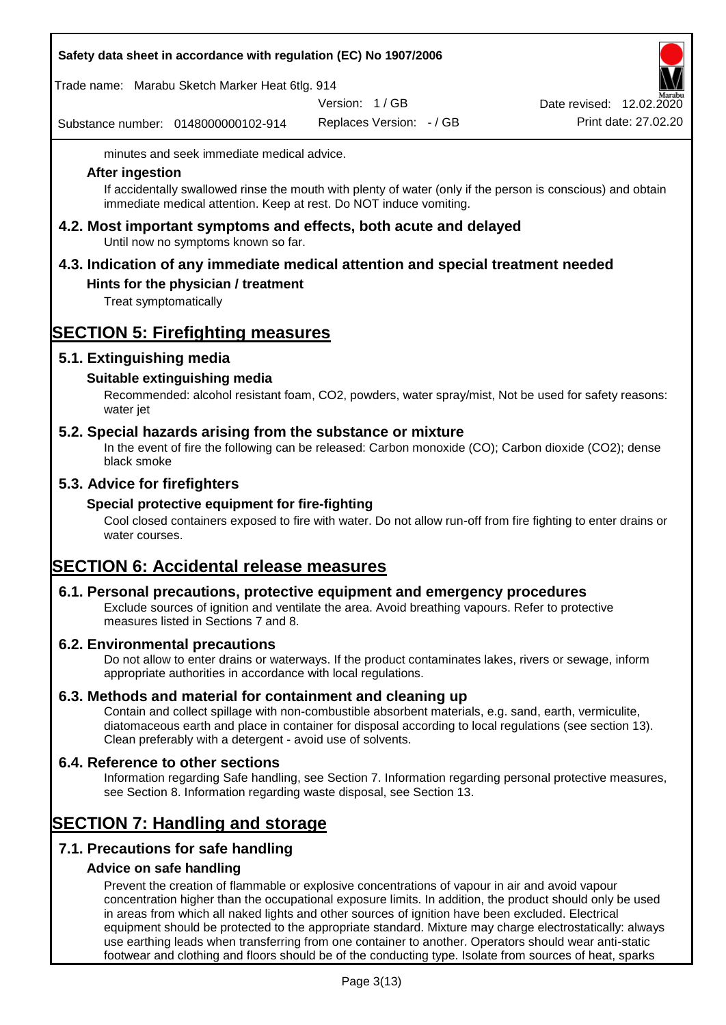|  |  |  | Safety data sheet in accordance with regulation (EC) No 1907/2006 |
|--|--|--|-------------------------------------------------------------------|
|--|--|--|-------------------------------------------------------------------|

Trade name: Marabu Sketch Marker Heat 6tlg. 914

Version: 1 / GB

Substance number: 0148000000102-914

Replaces Version: - / GB Print date: 27.02.20 Date revised: 12.02.2020

minutes and seek immediate medical advice.

#### **After ingestion**

If accidentally swallowed rinse the mouth with plenty of water (only if the person is conscious) and obtain immediate medical attention. Keep at rest. Do NOT induce vomiting.

**4.2. Most important symptoms and effects, both acute and delayed** Until now no symptoms known so far.

# **4.3. Indication of any immediate medical attention and special treatment needed**

## **Hints for the physician / treatment**

Treat symptomatically

# **SECTION 5: Firefighting measures**

## **5.1. Extinguishing media**

## **Suitable extinguishing media**

Recommended: alcohol resistant foam, CO2, powders, water spray/mist, Not be used for safety reasons: water jet

## **5.2. Special hazards arising from the substance or mixture**

In the event of fire the following can be released: Carbon monoxide (CO); Carbon dioxide (CO2); dense black smoke

## **5.3. Advice for firefighters**

## **Special protective equipment for fire-fighting**

Cool closed containers exposed to fire with water. Do not allow run-off from fire fighting to enter drains or water courses.

## **SECTION 6: Accidental release measures**

## **6.1. Personal precautions, protective equipment and emergency procedures**

Exclude sources of ignition and ventilate the area. Avoid breathing vapours. Refer to protective measures listed in Sections 7 and 8.

## **6.2. Environmental precautions**

Do not allow to enter drains or waterways. If the product contaminates lakes, rivers or sewage, inform appropriate authorities in accordance with local regulations.

## **6.3. Methods and material for containment and cleaning up**

Contain and collect spillage with non-combustible absorbent materials, e.g. sand, earth, vermiculite, diatomaceous earth and place in container for disposal according to local regulations (see section 13). Clean preferably with a detergent - avoid use of solvents.

## **6.4. Reference to other sections**

Information regarding Safe handling, see Section 7. Information regarding personal protective measures, see Section 8. Information regarding waste disposal, see Section 13.

## **SECTION 7: Handling and storage**

## **7.1. Precautions for safe handling**

## **Advice on safe handling**

Prevent the creation of flammable or explosive concentrations of vapour in air and avoid vapour concentration higher than the occupational exposure limits. In addition, the product should only be used in areas from which all naked lights and other sources of ignition have been excluded. Electrical equipment should be protected to the appropriate standard. Mixture may charge electrostatically: always use earthing leads when transferring from one container to another. Operators should wear anti-static footwear and clothing and floors should be of the conducting type. Isolate from sources of heat, sparks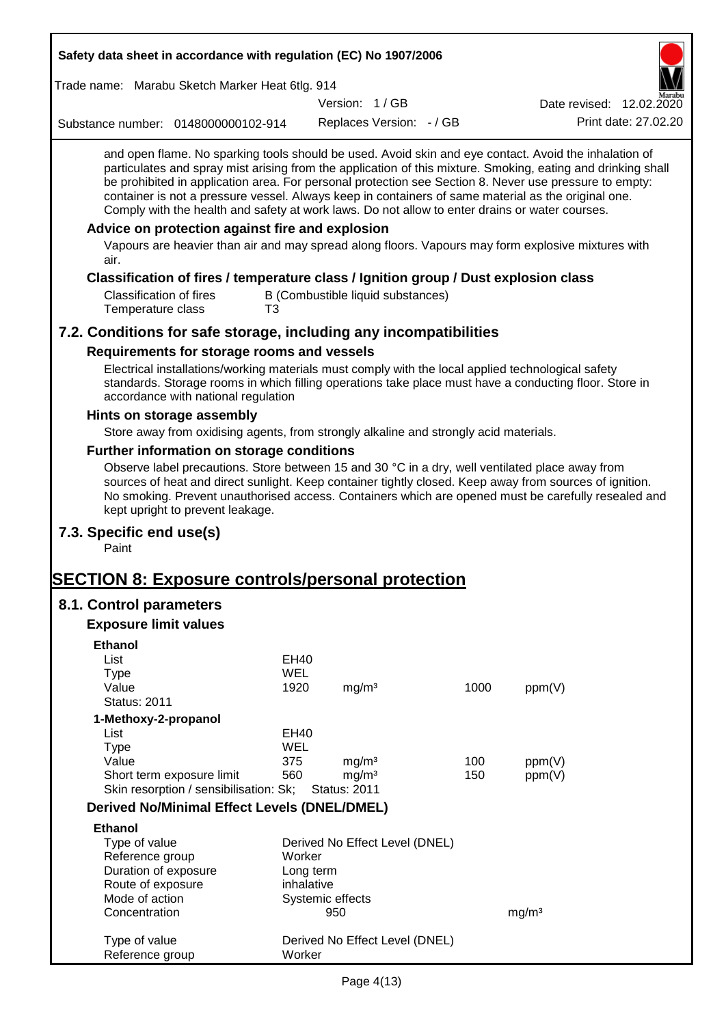| Safety data sheet in accordance with regulation (EC) No 1907/2006                                                                                                                                                                                                                                                                                                                                                                                                                                                                                                                                                                                                                |                    |                                   |                          |      |                                                                                                              |
|----------------------------------------------------------------------------------------------------------------------------------------------------------------------------------------------------------------------------------------------------------------------------------------------------------------------------------------------------------------------------------------------------------------------------------------------------------------------------------------------------------------------------------------------------------------------------------------------------------------------------------------------------------------------------------|--------------------|-----------------------------------|--------------------------|------|--------------------------------------------------------------------------------------------------------------|
| Trade name: Marabu Sketch Marker Heat 6tlg. 914                                                                                                                                                                                                                                                                                                                                                                                                                                                                                                                                                                                                                                  |                    |                                   |                          |      |                                                                                                              |
|                                                                                                                                                                                                                                                                                                                                                                                                                                                                                                                                                                                                                                                                                  |                    | Version: 1/GB                     |                          |      | Date revised: 12.02.2020                                                                                     |
| Substance number: 0148000000102-914                                                                                                                                                                                                                                                                                                                                                                                                                                                                                                                                                                                                                                              |                    |                                   | Replaces Version: - / GB |      | Print date: 27.02.20                                                                                         |
| and open flame. No sparking tools should be used. Avoid skin and eye contact. Avoid the inhalation of<br>be prohibited in application area. For personal protection see Section 8. Never use pressure to empty:<br>container is not a pressure vessel. Always keep in containers of same material as the original one.<br>Comply with the health and safety at work laws. Do not allow to enter drains or water courses.<br>Advice on protection against fire and explosion<br>Vapours are heavier than air and may spread along floors. Vapours may form explosive mixtures with<br>air.<br>Classification of fires / temperature class / Ignition group / Dust explosion class |                    |                                   |                          |      | particulates and spray mist arising from the application of this mixture. Smoking, eating and drinking shall |
| <b>Classification of fires</b><br>Temperature class                                                                                                                                                                                                                                                                                                                                                                                                                                                                                                                                                                                                                              | T <sub>3</sub>     | B (Combustible liquid substances) |                          |      |                                                                                                              |
| 7.2. Conditions for safe storage, including any incompatibilities                                                                                                                                                                                                                                                                                                                                                                                                                                                                                                                                                                                                                |                    |                                   |                          |      |                                                                                                              |
| Requirements for storage rooms and vessels                                                                                                                                                                                                                                                                                                                                                                                                                                                                                                                                                                                                                                       |                    |                                   |                          |      |                                                                                                              |
| Electrical installations/working materials must comply with the local applied technological safety<br>standards. Storage rooms in which filling operations take place must have a conducting floor. Store in<br>accordance with national regulation                                                                                                                                                                                                                                                                                                                                                                                                                              |                    |                                   |                          |      |                                                                                                              |
| Hints on storage assembly                                                                                                                                                                                                                                                                                                                                                                                                                                                                                                                                                                                                                                                        |                    |                                   |                          |      |                                                                                                              |
| Store away from oxidising agents, from strongly alkaline and strongly acid materials.                                                                                                                                                                                                                                                                                                                                                                                                                                                                                                                                                                                            |                    |                                   |                          |      |                                                                                                              |
| Further information on storage conditions                                                                                                                                                                                                                                                                                                                                                                                                                                                                                                                                                                                                                                        |                    |                                   |                          |      |                                                                                                              |
| Observe label precautions. Store between 15 and 30 °C in a dry, well ventilated place away from<br>sources of heat and direct sunlight. Keep container tightly closed. Keep away from sources of ignition.<br>No smoking. Prevent unauthorised access. Containers which are opened must be carefully resealed and<br>kept upright to prevent leakage.                                                                                                                                                                                                                                                                                                                            |                    |                                   |                          |      |                                                                                                              |
| 7.3. Specific end use(s)<br>Paint                                                                                                                                                                                                                                                                                                                                                                                                                                                                                                                                                                                                                                                |                    |                                   |                          |      |                                                                                                              |
| <u> SECTION 8: Exposure controls/personal protection</u>                                                                                                                                                                                                                                                                                                                                                                                                                                                                                                                                                                                                                         |                    |                                   |                          |      |                                                                                                              |
| 8.1. Control parameters                                                                                                                                                                                                                                                                                                                                                                                                                                                                                                                                                                                                                                                          |                    |                                   |                          |      |                                                                                                              |
| <b>Exposure limit values</b>                                                                                                                                                                                                                                                                                                                                                                                                                                                                                                                                                                                                                                                     |                    |                                   |                          |      |                                                                                                              |
| <b>Ethanol</b>                                                                                                                                                                                                                                                                                                                                                                                                                                                                                                                                                                                                                                                                   |                    |                                   |                          |      |                                                                                                              |
| List                                                                                                                                                                                                                                                                                                                                                                                                                                                                                                                                                                                                                                                                             | EH40               |                                   |                          |      |                                                                                                              |
| <b>Type</b>                                                                                                                                                                                                                                                                                                                                                                                                                                                                                                                                                                                                                                                                      | <b>WEL</b>         |                                   |                          |      |                                                                                                              |
| Value                                                                                                                                                                                                                                                                                                                                                                                                                                                                                                                                                                                                                                                                            | 1920               | mg/m <sup>3</sup>                 |                          | 1000 | ppm(V)                                                                                                       |
| <b>Status: 2011</b>                                                                                                                                                                                                                                                                                                                                                                                                                                                                                                                                                                                                                                                              |                    |                                   |                          |      |                                                                                                              |
| 1-Methoxy-2-propanol                                                                                                                                                                                                                                                                                                                                                                                                                                                                                                                                                                                                                                                             |                    |                                   |                          |      |                                                                                                              |
| List<br><b>Type</b>                                                                                                                                                                                                                                                                                                                                                                                                                                                                                                                                                                                                                                                              | EH40<br><b>WEL</b> |                                   |                          |      |                                                                                                              |
| Value                                                                                                                                                                                                                                                                                                                                                                                                                                                                                                                                                                                                                                                                            | 375                | mg/m <sup>3</sup>                 |                          | 100  | ppm(V)                                                                                                       |
| Short term exposure limit                                                                                                                                                                                                                                                                                                                                                                                                                                                                                                                                                                                                                                                        | 560                | mg/m <sup>3</sup>                 |                          | 150  | ppm(V)                                                                                                       |
| Skin resorption / sensibilisation: Sk;                                                                                                                                                                                                                                                                                                                                                                                                                                                                                                                                                                                                                                           |                    | <b>Status: 2011</b>               |                          |      |                                                                                                              |
| <b>Derived No/Minimal Effect Levels (DNEL/DMEL)</b>                                                                                                                                                                                                                                                                                                                                                                                                                                                                                                                                                                                                                              |                    |                                   |                          |      |                                                                                                              |
| <b>Ethanol</b>                                                                                                                                                                                                                                                                                                                                                                                                                                                                                                                                                                                                                                                                   |                    |                                   |                          |      |                                                                                                              |
| Type of value                                                                                                                                                                                                                                                                                                                                                                                                                                                                                                                                                                                                                                                                    |                    | Derived No Effect Level (DNEL)    |                          |      |                                                                                                              |
| Reference group                                                                                                                                                                                                                                                                                                                                                                                                                                                                                                                                                                                                                                                                  | Worker             |                                   |                          |      |                                                                                                              |
| Duration of exposure                                                                                                                                                                                                                                                                                                                                                                                                                                                                                                                                                                                                                                                             |                    | Long term                         |                          |      |                                                                                                              |
| Route of exposure                                                                                                                                                                                                                                                                                                                                                                                                                                                                                                                                                                                                                                                                |                    | inhalative                        |                          |      |                                                                                                              |
| Mode of action<br>Concentration                                                                                                                                                                                                                                                                                                                                                                                                                                                                                                                                                                                                                                                  |                    | Systemic effects<br>950           |                          |      | mg/m <sup>3</sup>                                                                                            |
|                                                                                                                                                                                                                                                                                                                                                                                                                                                                                                                                                                                                                                                                                  |                    |                                   |                          |      |                                                                                                              |
| Type of value<br>Reference group                                                                                                                                                                                                                                                                                                                                                                                                                                                                                                                                                                                                                                                 | Worker             | Derived No Effect Level (DNEL)    |                          |      |                                                                                                              |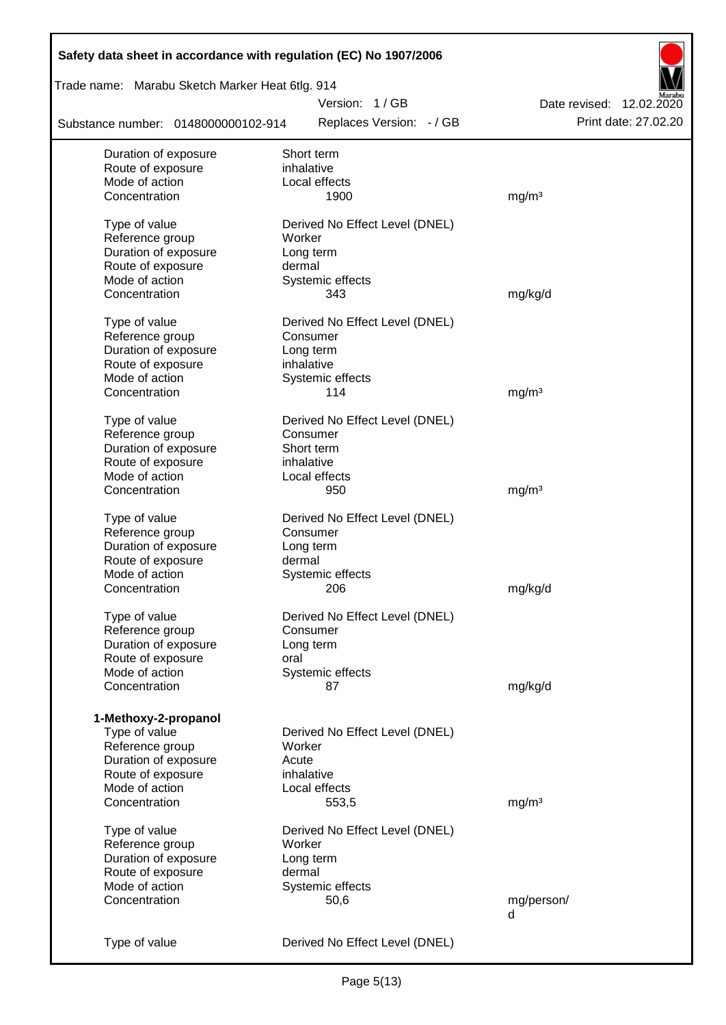| Safety data sheet in accordance with regulation (EC) No 1907/2006 |                                |                          |
|-------------------------------------------------------------------|--------------------------------|--------------------------|
| Trade name: Marabu Sketch Marker Heat 6tlg. 914                   |                                |                          |
|                                                                   | Version: 1/GB                  | Date revised: 12.02.2020 |
| Substance number: 0148000000102-914                               | Replaces Version: - / GB       | Print date: 27.02.20     |
| Duration of exposure                                              | Short term                     |                          |
| Route of exposure                                                 | inhalative                     |                          |
| Mode of action                                                    | Local effects                  |                          |
| Concentration                                                     | 1900                           | mg/m <sup>3</sup>        |
| Type of value                                                     | Derived No Effect Level (DNEL) |                          |
| Reference group                                                   | Worker                         |                          |
| Duration of exposure                                              | Long term                      |                          |
| Route of exposure                                                 | dermal                         |                          |
| Mode of action                                                    | Systemic effects               |                          |
| Concentration                                                     | 343                            | mg/kg/d                  |
| Type of value                                                     | Derived No Effect Level (DNEL) |                          |
| Reference group                                                   | Consumer                       |                          |
| Duration of exposure                                              | Long term                      |                          |
| Route of exposure                                                 | inhalative                     |                          |
| Mode of action                                                    | Systemic effects               |                          |
| Concentration                                                     | 114                            | mg/m <sup>3</sup>        |
| Type of value                                                     | Derived No Effect Level (DNEL) |                          |
| Reference group                                                   | Consumer                       |                          |
| Duration of exposure                                              | Short term                     |                          |
| Route of exposure                                                 | inhalative                     |                          |
| Mode of action                                                    | Local effects                  |                          |
| Concentration                                                     | 950                            | mg/m <sup>3</sup>        |
| Type of value                                                     | Derived No Effect Level (DNEL) |                          |
| Reference group                                                   | Consumer                       |                          |
| Duration of exposure                                              | Long term                      |                          |
| Route of exposure                                                 | dermal                         |                          |
| Mode of action                                                    | Systemic effects               |                          |
| Concentration                                                     | 206                            | mg/kg/d                  |
| Type of value                                                     | Derived No Effect Level (DNEL) |                          |
| Reference group                                                   | Consumer                       |                          |
| Duration of exposure                                              | Long term                      |                          |
| Route of exposure                                                 | oral                           |                          |
| Mode of action                                                    | Systemic effects               |                          |
| Concentration                                                     | 87                             | mg/kg/d                  |
|                                                                   |                                |                          |
| 1-Methoxy-2-propanol                                              |                                |                          |
| Type of value                                                     | Derived No Effect Level (DNEL) |                          |
| Reference group                                                   | Worker                         |                          |
| Duration of exposure                                              | Acute                          |                          |
| Route of exposure                                                 | inhalative                     |                          |
| Mode of action                                                    | Local effects                  |                          |
| Concentration                                                     | 553,5                          | mg/m <sup>3</sup>        |
| Type of value                                                     | Derived No Effect Level (DNEL) |                          |
| Reference group                                                   | Worker                         |                          |
| Duration of exposure                                              | Long term                      |                          |
| Route of exposure                                                 | dermal                         |                          |
| Mode of action                                                    | Systemic effects               |                          |
| Concentration                                                     | 50,6                           | mg/person/               |
|                                                                   |                                | d                        |
| Type of value                                                     | Derived No Effect Level (DNEL) |                          |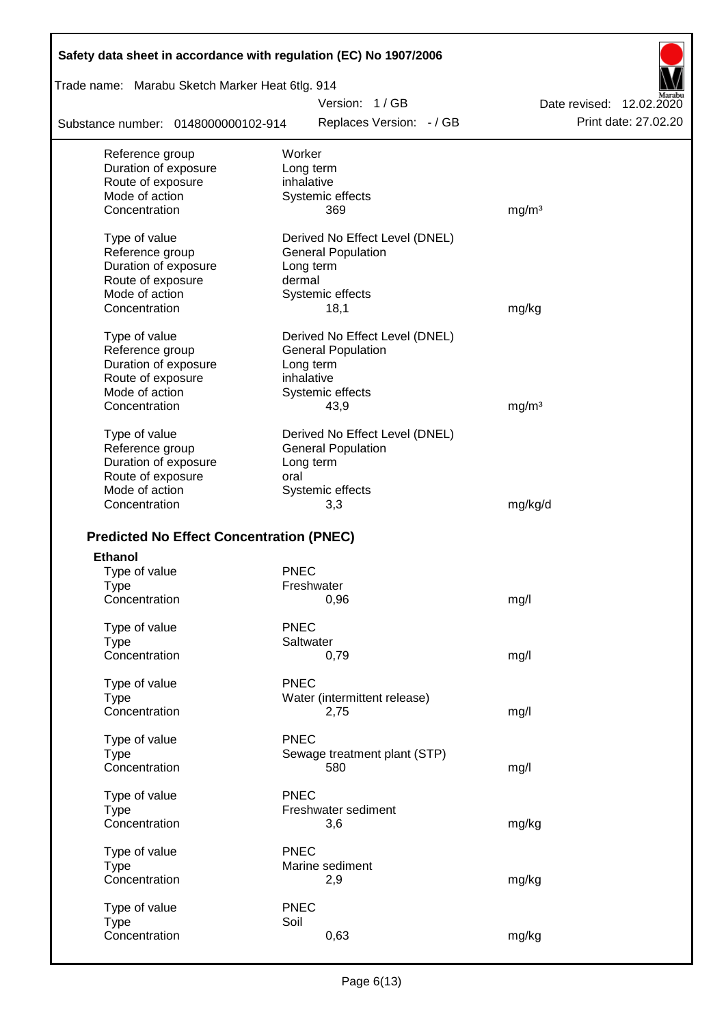| Safety data sheet in accordance with regulation (EC) No 1907/2006 |                                |                          |
|-------------------------------------------------------------------|--------------------------------|--------------------------|
| Trade name: Marabu Sketch Marker Heat 6tlg. 914                   |                                |                          |
|                                                                   | Version: 1/GB                  | Date revised: 12.02.2020 |
| Substance number: 0148000000102-914                               | Replaces Version: - / GB       | Print date: 27.02.20     |
| Reference group                                                   | Worker                         |                          |
| Duration of exposure                                              | Long term                      |                          |
| Route of exposure                                                 | inhalative                     |                          |
| Mode of action                                                    | Systemic effects               |                          |
| Concentration                                                     | 369                            | mg/m <sup>3</sup>        |
| Type of value                                                     | Derived No Effect Level (DNEL) |                          |
| Reference group                                                   | <b>General Population</b>      |                          |
| Duration of exposure                                              | Long term                      |                          |
| Route of exposure                                                 | dermal                         |                          |
| Mode of action                                                    | Systemic effects               |                          |
| Concentration                                                     | 18,1                           | mg/kg                    |
| Type of value                                                     | Derived No Effect Level (DNEL) |                          |
| Reference group                                                   | <b>General Population</b>      |                          |
| Duration of exposure                                              | Long term                      |                          |
| Route of exposure                                                 | inhalative                     |                          |
| Mode of action                                                    | Systemic effects               |                          |
| Concentration                                                     | 43,9                           | mg/m <sup>3</sup>        |
| Type of value                                                     | Derived No Effect Level (DNEL) |                          |
| Reference group                                                   | <b>General Population</b>      |                          |
| Duration of exposure                                              | Long term                      |                          |
| Route of exposure                                                 | oral                           |                          |
| Mode of action                                                    | Systemic effects               |                          |
| Concentration                                                     | 3,3                            | mg/kg/d                  |
| <b>Predicted No Effect Concentration (PNEC)</b>                   |                                |                          |
| <b>Ethanol</b>                                                    |                                |                          |
| Type of value                                                     | <b>PNEC</b>                    |                          |
| Type                                                              | Freshwater                     |                          |
| Concentration                                                     | 0,96                           | mg/l                     |
|                                                                   |                                |                          |
| Type of value                                                     | <b>PNEC</b>                    |                          |
| <b>Type</b>                                                       | Saltwater                      |                          |
| Concentration                                                     | 0,79                           | mg/l                     |
| Type of value                                                     | <b>PNEC</b>                    |                          |
| <b>Type</b>                                                       | Water (intermittent release)   |                          |
| Concentration                                                     | 2,75                           | mg/l                     |
| Type of value                                                     | <b>PNEC</b>                    |                          |
| <b>Type</b>                                                       | Sewage treatment plant (STP)   |                          |
| Concentration                                                     | 580                            | mg/l                     |
| Type of value                                                     | <b>PNEC</b>                    |                          |
| <b>Type</b>                                                       | Freshwater sediment            |                          |
| Concentration                                                     | 3,6                            | mg/kg                    |
| Type of value                                                     | <b>PNEC</b>                    |                          |
| <b>Type</b>                                                       | Marine sediment                |                          |
| Concentration                                                     | 2,9                            | mg/kg                    |
| Type of value                                                     | <b>PNEC</b>                    |                          |
| <b>Type</b>                                                       | Soil                           |                          |
| Concentration                                                     | 0,63                           | mg/kg                    |
|                                                                   |                                |                          |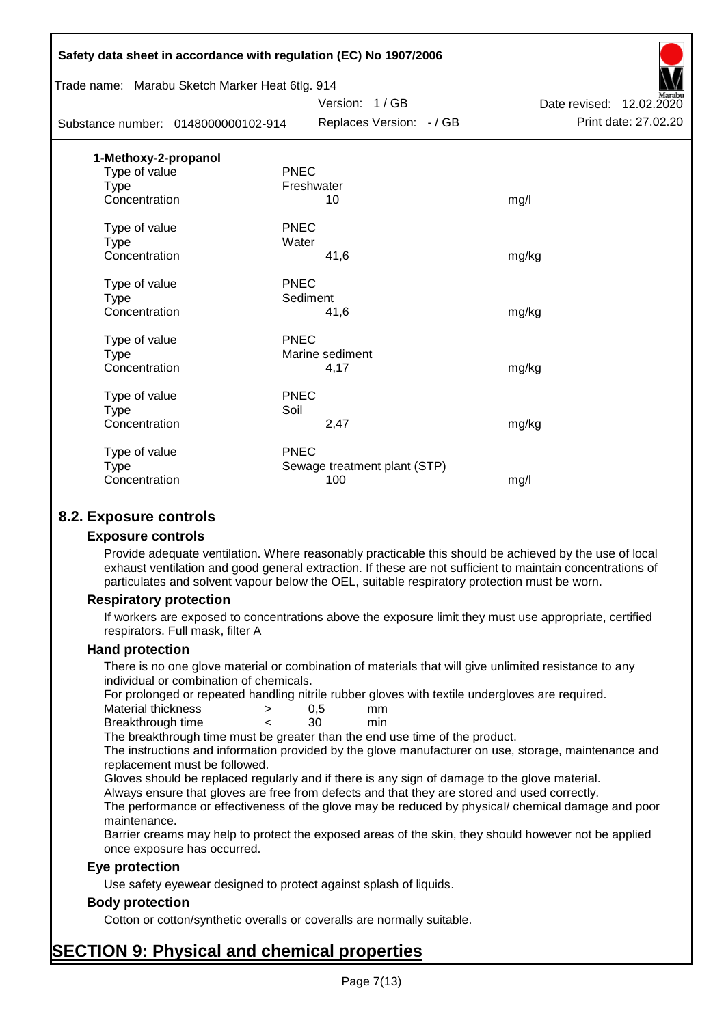|                                                 | Safety data sheet in accordance with regulation (EC) No 1907/2006 |                          |
|-------------------------------------------------|-------------------------------------------------------------------|--------------------------|
| Trade name: Marabu Sketch Marker Heat 6tlg. 914 |                                                                   |                          |
|                                                 | Version: 1/GB                                                     | Date revised: 12.02.2020 |
| Substance number: 0148000000102-914             | Replaces Version: - / GB                                          | Print date: 27.02.20     |
| 1-Methoxy-2-propanol                            |                                                                   |                          |
| Type of value                                   | <b>PNEC</b>                                                       |                          |
| <b>Type</b>                                     | Freshwater                                                        |                          |
| Concentration                                   | 10                                                                | mg/l                     |
| Type of value                                   | <b>PNEC</b>                                                       |                          |
| <b>Type</b>                                     | Water                                                             |                          |
| Concentration                                   | 41,6                                                              | mg/kg                    |
| Type of value                                   | <b>PNEC</b>                                                       |                          |
| <b>Type</b>                                     | Sediment                                                          |                          |
| Concentration                                   | 41,6                                                              | mg/kg                    |
| Type of value                                   | <b>PNEC</b>                                                       |                          |
| <b>Type</b>                                     | Marine sediment                                                   |                          |
| Concentration                                   | 4,17                                                              | mg/kg                    |
| Type of value                                   | <b>PNEC</b>                                                       |                          |
| <b>Type</b>                                     | Soil                                                              |                          |
| Concentration                                   | 2,47                                                              | mg/kg                    |
| Type of value                                   | PNEC                                                              |                          |
| <b>Type</b>                                     | Sewage treatment plant (STP)                                      |                          |
| Concentration                                   | 100                                                               | mg/l                     |
|                                                 |                                                                   |                          |

## **8.2. Exposure controls**

#### **Exposure controls**

Provide adequate ventilation. Where reasonably practicable this should be achieved by the use of local exhaust ventilation and good general extraction. If these are not sufficient to maintain concentrations of particulates and solvent vapour below the OEL, suitable respiratory protection must be worn.

#### **Respiratory protection**

If workers are exposed to concentrations above the exposure limit they must use appropriate, certified respirators. Full mask, filter A

#### **Hand protection**

There is no one glove material or combination of materials that will give unlimited resistance to any individual or combination of chemicals.

For prolonged or repeated handling nitrile rubber gloves with textile undergloves are required.

| Material thickness | 0.5 | mm  |
|--------------------|-----|-----|
| Breakthrough time  | 30  | min |

The breakthrough time must be greater than the end use time of the product.

The instructions and information provided by the glove manufacturer on use, storage, maintenance and replacement must be followed.

Gloves should be replaced regularly and if there is any sign of damage to the glove material.

Always ensure that gloves are free from defects and that they are stored and used correctly.

The performance or effectiveness of the glove may be reduced by physical/ chemical damage and poor maintenance.

Barrier creams may help to protect the exposed areas of the skin, they should however not be applied once exposure has occurred.

#### **Eye protection**

Use safety eyewear designed to protect against splash of liquids.

## **Body protection**

Cotton or cotton/synthetic overalls or coveralls are normally suitable.

# **SECTION 9: Physical and chemical properties**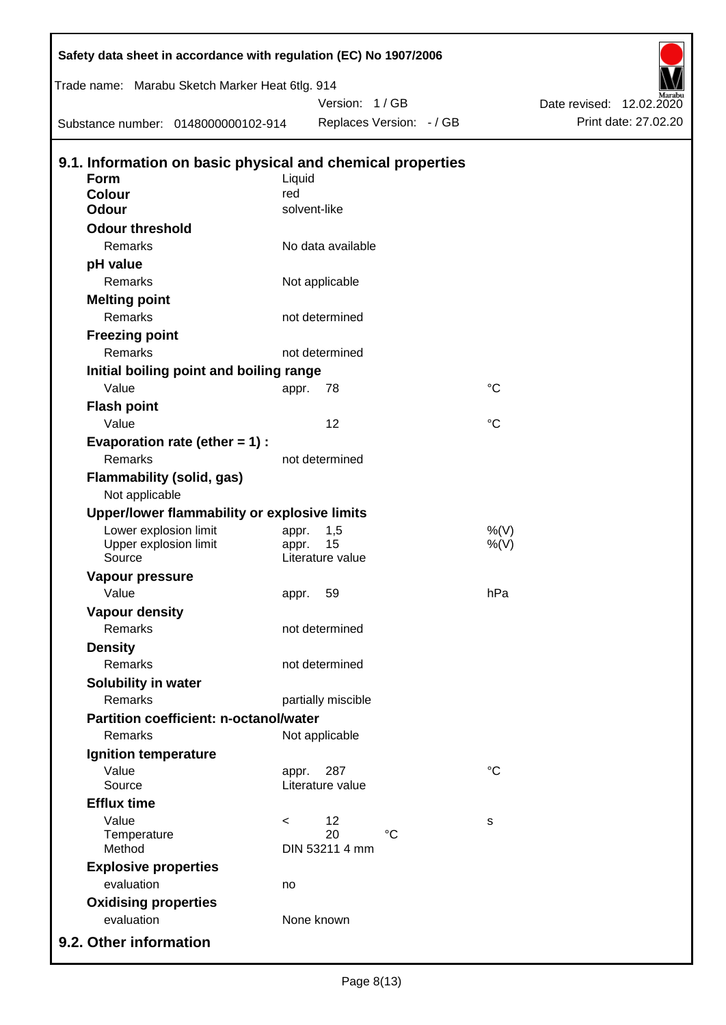| Safety data sheet in accordance with regulation (EC) No 1907/2006<br>Trade name: Marabu Sketch Marker Heat 6tlg. 914 |         | Version: 1/GB            |                 | Date revised: 12.02.2020<br>Print date: 27.02.20 |
|----------------------------------------------------------------------------------------------------------------------|---------|--------------------------|-----------------|--------------------------------------------------|
| Substance number: 0148000000102-914                                                                                  |         | Replaces Version: - / GB |                 |                                                  |
| 9.1. Information on basic physical and chemical properties                                                           |         |                          |                 |                                                  |
| Form                                                                                                                 | Liquid  |                          |                 |                                                  |
| <b>Colour</b><br><b>Odour</b>                                                                                        | red     | solvent-like             |                 |                                                  |
|                                                                                                                      |         |                          |                 |                                                  |
| <b>Odour threshold</b><br>Remarks                                                                                    |         | No data available        |                 |                                                  |
|                                                                                                                      |         |                          |                 |                                                  |
| pH value<br>Remarks                                                                                                  |         |                          |                 |                                                  |
|                                                                                                                      |         | Not applicable           |                 |                                                  |
| <b>Melting point</b><br>Remarks                                                                                      |         | not determined           |                 |                                                  |
|                                                                                                                      |         |                          |                 |                                                  |
| <b>Freezing point</b><br>Remarks                                                                                     |         | not determined           |                 |                                                  |
|                                                                                                                      |         |                          |                 |                                                  |
| Initial boiling point and boiling range<br>Value                                                                     |         | 78                       | $\rm ^{\circ}C$ |                                                  |
|                                                                                                                      | appr.   |                          |                 |                                                  |
| <b>Flash point</b><br>Value                                                                                          |         | 12                       | $\rm ^{\circ}C$ |                                                  |
|                                                                                                                      |         |                          |                 |                                                  |
| Evaporation rate (ether $= 1$ ) :<br>Remarks                                                                         |         | not determined           |                 |                                                  |
|                                                                                                                      |         |                          |                 |                                                  |
| <b>Flammability (solid, gas)</b><br>Not applicable                                                                   |         |                          |                 |                                                  |
| Upper/lower flammability or explosive limits                                                                         |         |                          |                 |                                                  |
| Lower explosion limit                                                                                                | appr.   | 1,5<br>15                | %(V)            |                                                  |
| Upper explosion limit<br>Source                                                                                      | appr.   | Literature value         | $%$ (V)         |                                                  |
| Vapour pressure                                                                                                      |         |                          |                 |                                                  |
| Value                                                                                                                | appr.   | 59                       | hPa             |                                                  |
| <b>Vapour density</b>                                                                                                |         |                          |                 |                                                  |
| Remarks                                                                                                              |         | not determined           |                 |                                                  |
| <b>Density</b>                                                                                                       |         |                          |                 |                                                  |
| <b>Remarks</b>                                                                                                       |         | not determined           |                 |                                                  |
| Solubility in water                                                                                                  |         |                          |                 |                                                  |
| Remarks                                                                                                              |         | partially miscible       |                 |                                                  |
| <b>Partition coefficient: n-octanol/water</b>                                                                        |         |                          |                 |                                                  |
| Remarks                                                                                                              |         | Not applicable           |                 |                                                  |
| Ignition temperature                                                                                                 |         |                          |                 |                                                  |
| Value                                                                                                                | appr.   | 287                      | $\rm ^{\circ}C$ |                                                  |
| Source                                                                                                               |         | Literature value         |                 |                                                  |
| <b>Efflux time</b>                                                                                                   |         |                          |                 |                                                  |
| Value                                                                                                                | $\,<\,$ | 12                       | s               |                                                  |
| Temperature                                                                                                          |         | 20<br>$^{\circ}C$        |                 |                                                  |
| Method                                                                                                               |         | DIN 53211 4 mm           |                 |                                                  |
| <b>Explosive properties</b>                                                                                          |         |                          |                 |                                                  |
| evaluation                                                                                                           | no      |                          |                 |                                                  |
| <b>Oxidising properties</b>                                                                                          |         |                          |                 |                                                  |
| evaluation                                                                                                           |         | None known               |                 |                                                  |
| 9.2. Other information                                                                                               |         |                          |                 |                                                  |

 $\mathbf{I}$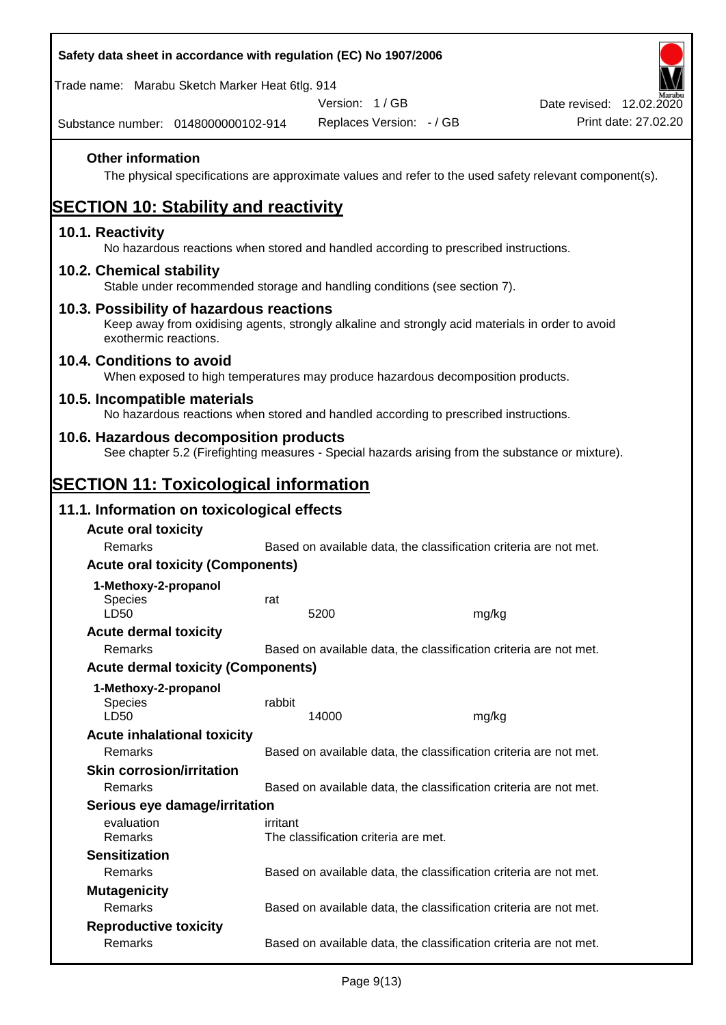| Safety data sheet in accordance with regulation (EC) No 1907/2006                                                                                                     |          |                                      |                                                                                                        |
|-----------------------------------------------------------------------------------------------------------------------------------------------------------------------|----------|--------------------------------------|--------------------------------------------------------------------------------------------------------|
| Trade name: Marabu Sketch Marker Heat 6tlg. 914                                                                                                                       |          |                                      |                                                                                                        |
|                                                                                                                                                                       |          | Version: 1/GB                        | Date revised: 12.02.2020                                                                               |
| Substance number: 0148000000102-914                                                                                                                                   |          | Replaces Version: - / GB             | Print date: 27.02.20                                                                                   |
| <b>Other information</b>                                                                                                                                              |          |                                      | The physical specifications are approximate values and refer to the used safety relevant component(s). |
| <b>SECTION 10: Stability and reactivity</b>                                                                                                                           |          |                                      |                                                                                                        |
| 10.1. Reactivity<br>No hazardous reactions when stored and handled according to prescribed instructions.                                                              |          |                                      |                                                                                                        |
| 10.2. Chemical stability<br>Stable under recommended storage and handling conditions (see section 7).                                                                 |          |                                      |                                                                                                        |
| 10.3. Possibility of hazardous reactions<br>Keep away from oxidising agents, strongly alkaline and strongly acid materials in order to avoid<br>exothermic reactions. |          |                                      |                                                                                                        |
| 10.4. Conditions to avoid<br>When exposed to high temperatures may produce hazardous decomposition products.                                                          |          |                                      |                                                                                                        |
| 10.5. Incompatible materials<br>No hazardous reactions when stored and handled according to prescribed instructions.                                                  |          |                                      |                                                                                                        |
| 10.6. Hazardous decomposition products<br>See chapter 5.2 (Firefighting measures - Special hazards arising from the substance or mixture).                            |          |                                      |                                                                                                        |
| <b>SECTION 11: Toxicological information</b>                                                                                                                          |          |                                      |                                                                                                        |
| 11.1. Information on toxicological effects                                                                                                                            |          |                                      |                                                                                                        |
| <b>Acute oral toxicity</b>                                                                                                                                            |          |                                      |                                                                                                        |
| Remarks                                                                                                                                                               |          |                                      | Based on available data, the classification criteria are not met.                                      |
| <b>Acute oral toxicity (Components)</b>                                                                                                                               |          |                                      |                                                                                                        |
| 1-Methoxy-2-propanol                                                                                                                                                  |          |                                      |                                                                                                        |
| <b>Species</b>                                                                                                                                                        | rat      |                                      |                                                                                                        |
| LD50                                                                                                                                                                  |          | 5200                                 | mg/kg                                                                                                  |
| <b>Acute dermal toxicity</b><br>Remarks                                                                                                                               |          |                                      | Based on available data, the classification criteria are not met.                                      |
| <b>Acute dermal toxicity (Components)</b>                                                                                                                             |          |                                      |                                                                                                        |
|                                                                                                                                                                       |          |                                      |                                                                                                        |
| 1-Methoxy-2-propanol<br>Species                                                                                                                                       | rabbit   |                                      |                                                                                                        |
| LD50                                                                                                                                                                  |          | 14000                                | mg/kg                                                                                                  |
| <b>Acute inhalational toxicity</b>                                                                                                                                    |          |                                      |                                                                                                        |
| Remarks                                                                                                                                                               |          |                                      | Based on available data, the classification criteria are not met.                                      |
| <b>Skin corrosion/irritation</b>                                                                                                                                      |          |                                      |                                                                                                        |
| Remarks                                                                                                                                                               |          |                                      | Based on available data, the classification criteria are not met.                                      |
| Serious eye damage/irritation                                                                                                                                         |          |                                      |                                                                                                        |
| evaluation<br>Remarks                                                                                                                                                 | irritant | The classification criteria are met. |                                                                                                        |
| <b>Sensitization</b>                                                                                                                                                  |          |                                      |                                                                                                        |
| Remarks                                                                                                                                                               |          |                                      | Based on available data, the classification criteria are not met.                                      |
| <b>Mutagenicity</b><br>Remarks                                                                                                                                        |          |                                      | Based on available data, the classification criteria are not met.                                      |
| <b>Reproductive toxicity</b>                                                                                                                                          |          |                                      |                                                                                                        |
| Remarks                                                                                                                                                               |          |                                      | Based on available data, the classification criteria are not met.                                      |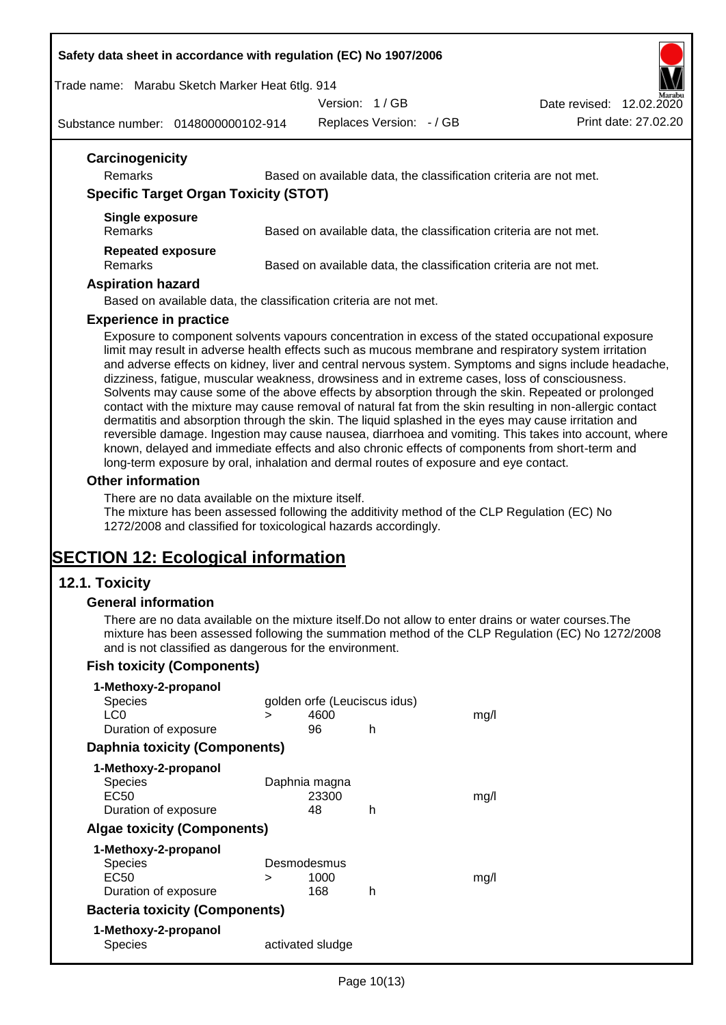#### **Safety data sheet in accordance with regulation (EC) No 1907/2006**

Trade name: Marabu Sketch Marker Heat 6tlg. 914

Version: 1 / GB

Date revised: 12.02.2020

Substance number: 0148000000102-914

Replaces Version: - / GB Print date: 27.02.20

| Carcinogenicity<br><b>Remarks</b>            | Based on available data, the classification criteria are not met.                                  |
|----------------------------------------------|----------------------------------------------------------------------------------------------------|
| <b>Specific Target Organ Toxicity (STOT)</b> |                                                                                                    |
| Single exposure<br><b>Remarks</b>            | Based on available data, the classification criteria are not met.                                  |
| <b>Repeated exposure</b><br><b>Remarks</b>   | Based on available data, the classification criteria are not met.                                  |
| <b>Aspiration hazard</b>                     |                                                                                                    |
|                                              | Based on available data, the classification criteria are not met.                                  |
| <b>Experience in practice</b>                |                                                                                                    |
|                                              | Exposure to component solvents vapours concentration in excess of the stated occupational exposure |

Exposure to component solvents vapours concentration in excess of the stated occupational exposure limit may result in adverse health effects such as mucous membrane and respiratory system irritation and adverse effects on kidney, liver and central nervous system. Symptoms and signs include headache, dizziness, fatigue, muscular weakness, drowsiness and in extreme cases, loss of consciousness. Solvents may cause some of the above effects by absorption through the skin. Repeated or prolonged contact with the mixture may cause removal of natural fat from the skin resulting in non-allergic contact dermatitis and absorption through the skin. The liquid splashed in the eyes may cause irritation and reversible damage. Ingestion may cause nausea, diarrhoea and vomiting. This takes into account, where known, delayed and immediate effects and also chronic effects of components from short-term and long-term exposure by oral, inhalation and dermal routes of exposure and eye contact.

## **Other information**

There are no data available on the mixture itself.

The mixture has been assessed following the additivity method of the CLP Regulation (EC) No 1272/2008 and classified for toxicological hazards accordingly.

# **SECTION 12: Ecological information**

## **12.1. Toxicity**

#### **General information**

There are no data available on the mixture itself.Do not allow to enter drains or water courses.The mixture has been assessed following the summation method of the CLP Regulation (EC) No 1272/2008 and is not classified as dangerous for the environment.

## **Fish toxicity (Components)**

| 1-Methoxy-2-propanol                  |   |                              |   |      |
|---------------------------------------|---|------------------------------|---|------|
| <b>Species</b>                        |   | golden orfe (Leuciscus idus) |   |      |
| LC <sub>0</sub>                       | ⋗ | 4600                         |   | mq/l |
| Duration of exposure                  |   | 96                           | h |      |
| <b>Daphnia toxicity (Components)</b>  |   |                              |   |      |
| 1-Methoxy-2-propanol                  |   |                              |   |      |
| <b>Species</b>                        |   | Daphnia magna                |   |      |
| EC50                                  |   | 23300                        |   | mq/1 |
| Duration of exposure                  |   | 48                           | h |      |
| <b>Algae toxicity (Components)</b>    |   |                              |   |      |
| 1-Methoxy-2-propanol                  |   |                              |   |      |
| <b>Species</b>                        |   | Desmodesmus                  |   |      |
| EC50                                  | ⋗ | 1000                         |   | mq/1 |
| Duration of exposure                  |   | 168                          | h |      |
| <b>Bacteria toxicity (Components)</b> |   |                              |   |      |
| 1-Methoxy-2-propanol                  |   |                              |   |      |
| Species                               |   | activated sludge             |   |      |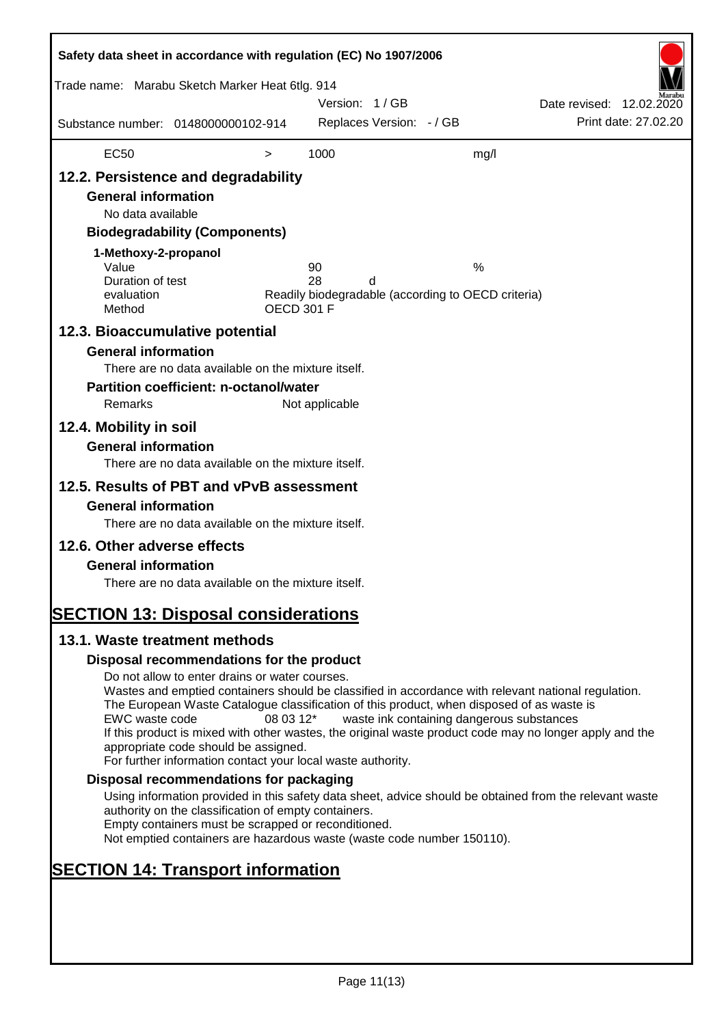| Safety data sheet in accordance with regulation (EC) No 1907/2006                                                                                                                                                                                                                                                                                                                                                                              |                                                                                                                                                                                                                                                                                                                                                                                                                                                                                                                  |                   |                            |   |                                                         |                          |                      |
|------------------------------------------------------------------------------------------------------------------------------------------------------------------------------------------------------------------------------------------------------------------------------------------------------------------------------------------------------------------------------------------------------------------------------------------------|------------------------------------------------------------------------------------------------------------------------------------------------------------------------------------------------------------------------------------------------------------------------------------------------------------------------------------------------------------------------------------------------------------------------------------------------------------------------------------------------------------------|-------------------|----------------------------|---|---------------------------------------------------------|--------------------------|----------------------|
| Trade name: Marabu Sketch Marker Heat 6tlg. 914                                                                                                                                                                                                                                                                                                                                                                                                |                                                                                                                                                                                                                                                                                                                                                                                                                                                                                                                  |                   | Version: 1/GB              |   |                                                         | Date revised: 12.02.2020 |                      |
| Substance number: 0148000000102-914                                                                                                                                                                                                                                                                                                                                                                                                            |                                                                                                                                                                                                                                                                                                                                                                                                                                                                                                                  |                   | Replaces Version: - / GB   |   |                                                         |                          | Print date: 27.02.20 |
| <b>EC50</b>                                                                                                                                                                                                                                                                                                                                                                                                                                    |                                                                                                                                                                                                                                                                                                                                                                                                                                                                                                                  | $\,>$             | 1000                       |   | mg/l                                                    |                          |                      |
| 12.2. Persistence and degradability<br><b>General information</b><br>No data available<br>1-Methoxy-2-propanol<br>Value<br>Duration of test<br>evaluation<br>Method<br>12.3. Bioaccumulative potential<br><b>General information</b><br>Remarks<br>12.4. Mobility in soil<br><b>General information</b><br>12.5. Results of PBT and vPvB assessment<br><b>General information</b><br>12.6. Other adverse effects<br><b>General information</b> | <b>Biodegradability (Components)</b><br>There are no data available on the mixture itself.<br><b>Partition coefficient: n-octanol/water</b><br>There are no data available on the mixture itself.<br>There are no data available on the mixture itself.<br>There are no data available on the mixture itself.                                                                                                                                                                                                    | <b>OECD 301 F</b> | 90<br>28<br>Not applicable | d | %<br>Readily biodegradable (according to OECD criteria) |                          |                      |
| <b>SECTION 13: Disposal considerations</b>                                                                                                                                                                                                                                                                                                                                                                                                     |                                                                                                                                                                                                                                                                                                                                                                                                                                                                                                                  |                   |                            |   |                                                         |                          |                      |
| 13.1. Waste treatment methods                                                                                                                                                                                                                                                                                                                                                                                                                  |                                                                                                                                                                                                                                                                                                                                                                                                                                                                                                                  |                   |                            |   |                                                         |                          |                      |
| EWC waste code                                                                                                                                                                                                                                                                                                                                                                                                                                 | Disposal recommendations for the product<br>Do not allow to enter drains or water courses.<br>Wastes and emptied containers should be classified in accordance with relevant national regulation.<br>The European Waste Catalogue classification of this product, when disposed of as waste is<br>If this product is mixed with other wastes, the original waste product code may no longer apply and the<br>appropriate code should be assigned.<br>For further information contact your local waste authority. | 08 03 12*         |                            |   | waste ink containing dangerous substances               |                          |                      |
|                                                                                                                                                                                                                                                                                                                                                                                                                                                | Disposal recommendations for packaging                                                                                                                                                                                                                                                                                                                                                                                                                                                                           |                   |                            |   |                                                         |                          |                      |
|                                                                                                                                                                                                                                                                                                                                                                                                                                                | Using information provided in this safety data sheet, advice should be obtained from the relevant waste<br>authority on the classification of empty containers.<br>Empty containers must be scrapped or reconditioned.<br>Not emptied containers are hazardous waste (waste code number 150110).                                                                                                                                                                                                                 |                   |                            |   |                                                         |                          |                      |
| <b>SECTION 14: Transport information</b>                                                                                                                                                                                                                                                                                                                                                                                                       |                                                                                                                                                                                                                                                                                                                                                                                                                                                                                                                  |                   |                            |   |                                                         |                          |                      |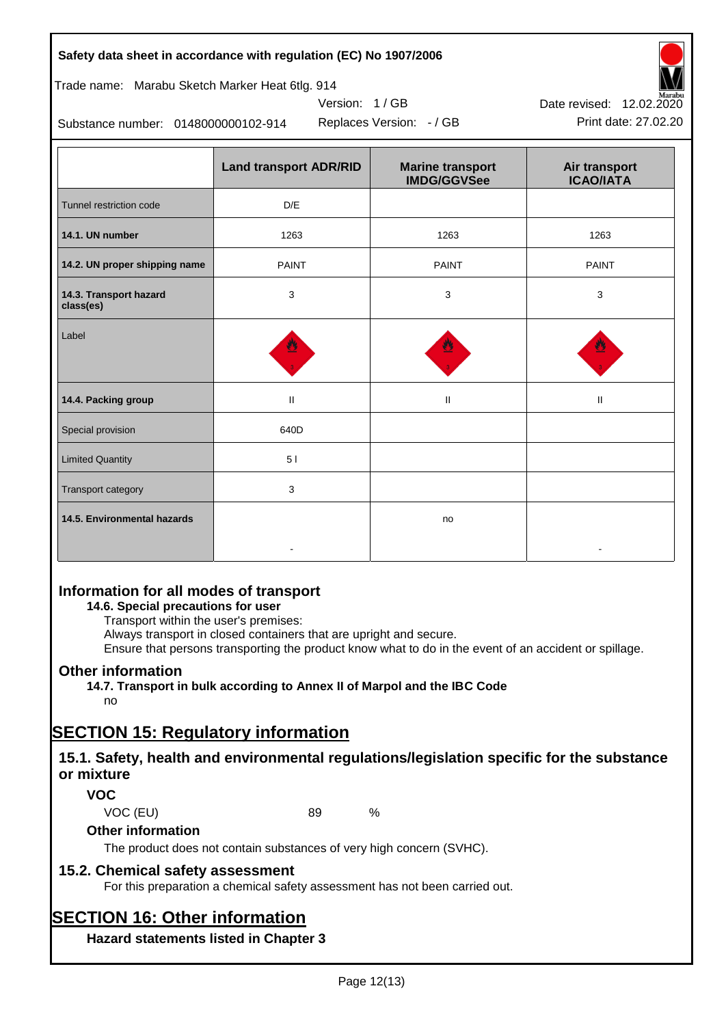## **Safety data sheet in accordance with regulation (EC) No 1907/2006**

## Trade name: Marabu Sketch Marker Heat 6tlg. 914

Substance number: 0148000000102-914

|                                     | <b>Land transport ADR/RID</b> | <b>Marine transport</b><br><b>IMDG/GGVSee</b> | Air transport<br><b>ICAO/IATA</b> |
|-------------------------------------|-------------------------------|-----------------------------------------------|-----------------------------------|
| Tunnel restriction code             | D/E                           |                                               |                                   |
| 14.1. UN number                     | 1263                          | 1263                                          | 1263                              |
| 14.2. UN proper shipping name       | <b>PAINT</b>                  | <b>PAINT</b>                                  | <b>PAINT</b>                      |
| 14.3. Transport hazard<br>class(es) | $\mathbf{3}$                  | 3                                             | 3                                 |
| Label                               |                               |                                               |                                   |
| 14.4. Packing group                 | $\mathbf H$                   | $\ensuremath{\mathsf{II}}$                    | Ш                                 |
| Special provision                   | 640D                          |                                               |                                   |
| <b>Limited Quantity</b>             | 51                            |                                               |                                   |
| Transport category                  | 3                             |                                               |                                   |
| 14.5. Environmental hazards         |                               | no                                            |                                   |

Version: 1 / GB

## **Information for all modes of transport**

## **14.6. Special precautions for user**

Transport within the user's premises:

Always transport in closed containers that are upright and secure.

Ensure that persons transporting the product know what to do in the event of an accident or spillage.

## **Other information**

**14.7. Transport in bulk according to Annex II of Marpol and the IBC Code**

## no

# **SECTION 15: Regulatory information**

## **15.1. Safety, health and environmental regulations/legislation specific for the substance or mixture**

## **VOC**

VOC (EU) 89 %

## **Other information**

The product does not contain substances of very high concern (SVHC).

## **15.2. Chemical safety assessment**

For this preparation a chemical safety assessment has not been carried out.

# **SECTION 16: Other information**

**Hazard statements listed in Chapter 3**



Replaces Version: - / GB Print date: 27.02.20 Date revised: 12.02.2020